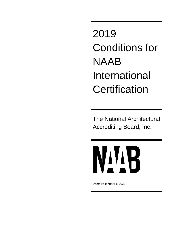2019 Conditions for NAAB International **Certification** 

The National Architectural Accrediting Board, Inc.



Effective January 1, 2020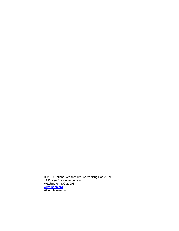© 2019 National Architectural Accrediting Board, Inc. 1735 New York Avenue, NW Washington, DC 20006 [www.naab.org](http://www.naab.org/) All rights reserved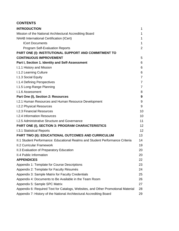| <b>CONTENTS</b>                                                                  |                |
|----------------------------------------------------------------------------------|----------------|
| <b>INTRODUCTION</b>                                                              | 1              |
| Mission of the National Architectural Accrediting Board                          | 1              |
| <b>NAAB International Certification (ICert)</b>                                  | 1              |
| <b>ICert Documents</b>                                                           | 1              |
| <b>Program Self-Evaluation Reports</b>                                           | $\overline{2}$ |
| PART ONE (I): INSTITUTIONAL SUPPORT AND COMMITMENT TO                            |                |
| <b>CONTINUOUS IMPROVEMENT</b>                                                    | 5              |
| Part I, Section 1. Identity and Self-Assessment                                  | 6              |
| I.1.1 History and Mission                                                        | 6              |
| <b>I.1.2 Learning Culture</b>                                                    | 6              |
| <b>I.1.3 Social Equity</b>                                                       | $\overline{7}$ |
| <b>I.1.4 Defining Perspectives</b>                                               | $\overline{7}$ |
| 1.1.5 Long-Range Planning                                                        | $\overline{7}$ |
| <b>I.1.6 Assessment</b>                                                          | 8              |
| Part One (I), Section 2: Resources                                               | 9              |
| 1.2.1 Human Resources and Human Resource Development                             | 9              |
| <b>I.2.2 Physical Resources</b>                                                  | 9              |
| <b>I.2.3 Financial Resources</b>                                                 | 10             |
| <b>I.2.4 Information Resources</b>                                               | 10             |
| <b>I.2.5 Administrative Structure and Governance</b>                             | 11             |
| <b>PART ONE (I), SECTION 3: PROGRAM CHARACTERISTICS</b>                          | 12             |
| <b>I.3.1 Statistical Reports</b>                                                 | 12             |
| <b>PART TWO (II): EDUCATIONAL OUTCOMES AND CURRICULUM</b>                        | 13             |
| II.1 Student Performance: Educational Realms and Student Performance Criteria    | 14             |
| <b>II.2 Curricular Framework</b>                                                 | 19             |
| II.3 Evaluation of Preparatory Education                                         | 20             |
| <b>II.4 Public Information</b>                                                   | 20             |
| <b>APPENDICES</b>                                                                | 22             |
| Appendix 1: Template for Course Descriptions                                     | 23             |
| Appendix 2: Template for Faculty Résumés                                         | 24             |
| Appendix 3: Sample Matrix for Faculty Credentials                                | 25             |
| Appendix 4: Documents to Be Available in the Team Room                           | 26             |
| Appendix 5: Sample SPC Matrix                                                    | 27             |
| Appendix 6: Required Text for Catalogs, Websites, and Other Promotional Material | 28             |
| Appendix 7: History of the National Architectural Accrediting Board              | 29             |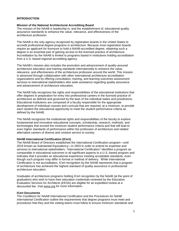## **INTRODUCTION**

#### **Mission of the National Architectural Accrediting Board**

The mission of the NAAB is leadership in, and the establishment of, educational quality assurance standards to enhance the value, relevance, and effectiveness of the architecture profession.

The NAAB is the only agency recognized by registration boards in the United States to accredit professional degree programs in architecture. Because most registration boards require an applicant for licensure to hold a NAAB-accredited degree, obtaining such a degree is an essential part of gaining access to the licensed practice of architecture. Accreditation by the NAAB is limited to programs based in institutions holding accreditation from a U.S.-based regional accrediting agency.

The NAAB's mission also includes the promotion and advancement of quality-assured architecture education and training standards internationally to enhance the value, relevance, and effectiveness of the architecture profession around the world. This mission is advanced through collaboration with other international architecture accreditation organizations and by offering consultation, training, and learning outcomes assessment services to international stakeholders who seek assistance regarding quality assurance and advancement of architecture education.

The NAAB fully recognizes the rights and responsibilities of the educational institutions that offer degrees in preparation for entry into professional careers in the licensed practice of architecture as defined and governed by the laws of the individual states and jurisdictions. Educational institutions are composed of a faculty responsible for the appropriate development of individual courses and curricula that are required, at a minimum, to provide each student the educational opportunity to meet the student performance criteria as defined by the NAAB.

The NAAB recognizes the institutional rights and responsibilities of the faculty to explore fundamental and innovative educational concepts, scholarship, research, methods, and technologies that exceed the minimum student performance criteria and that will lead to even higher standards of performance within the profession of architecture and related alternative careers of diverse and creative service to society.

## **NAAB International Certification (ICert)**

The NAAB Board of Directors established the International Certification program—until 2019 known as Substantial Equivalency—in 2003 in order to extend its expertise and services to international stakeholders. "International Certification" identifies a program as comparable in educational outcomes in all significant aspects to a U.S.-based program and indicates that it provides an educational experience meeting acceptable standards, even though such program may differ in format or method of delivery. While International Certification is *not* accreditation, ICert recognition by the NAAB represents that a program of architecture has achieved the highest standard of quality assurance in professional architecture education.

Graduates of architecture programs holding ICert recognition by the NAAB (at the point of graduation) who wish to have their education credentials reviewed by the Education Evaluation Services for Architects (EESA) are eligible for an expedited review at a discounted fee. Visit eesa.org for more information.

#### **ICert Documents**

The *Conditions for NAAB International Certification* and the *Procedures for NAAB International Certification* outline the requirements that degree programs must meet and procedures that they and the visiting teams must follow to ensure minimum standards and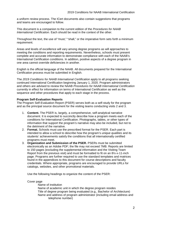a uniform review process. The ICert documents also contain suggestions that programs and teams are encouraged to follow.

This document is a companion to the current edition of the *Procedures for NAAB International Certification.* Each should be read in the context of the other.

Throughout the text, the use of "must," "shall," or the imperative form sets forth a minimum requirement.

Areas and levels of excellence will vary among degree programs as will approaches to meeting the conditions and reporting requirements. Nevertheless, schools must present complete and accurate information to demonstrate compliance with each of the NAAB's International Certification conditions. In addition, positive aspects of a degree program in one area cannot override deficiencies in another.

English is the official language of the NAAB. All documents prepared for the International Certification process must be submitted in English.

The *2019 Conditions for NAAB International Certification* apply to all programs seeking continued International Certification beginning January 1, 2020. Program administrators and others are advised to review the NAAB *Procedures for NAAB International Certification*  currently in effect for information on terms of International Certification as well as the sequence and other procedures that apply to each stage in the process.

#### **Program Self-Evaluation Reports**

The Program Self-Evaluation Report (PSER) serves both as a self-study for the program and as the principal source document for the visiting teams conducting visits 2 and 3.

- 1. **Content.** The PSER is, largely, a comprehensive, self-analytical narrative document. It is expected to succinctly describe how a program meets each of the conditions for International Certification. Photographs, tables, or other types of information that support the program's narrative may also be included, but not to the detriment of the narrative.
- 2. **Format.** Schools must use the prescribed format for the PSER. Each part is intended to allow a school to describe how the program's *unique qualities* and its students' achievements satisfy the conditions that all internationally certified programs must meet.
- 3. **Organization and Submission of the PSER.** PSERs must be submitted electronically as an Adobe PDF; the file may not exceed 7MB. Reports are limited to 150 pages (excluding the supplemental information and the Visiting Team Report from the previous visit) and must be formatted to fit on an 8½-x-11-inch page. Programs are further required to use the standard templates and matrices found in the appendices to this document for course descriptions and faculty credentials. Where appropriate, programs are encouraged to provide URLs for catalogs, websites, and other promotional materials.

Use the following headings to organize the content of the PSER:

#### Cover page

Name of institution Name of academic unit in which the degree program resides Title of degree program being evaluated (e.g., Bachelor of Architecture) Name and address of program administrator (including email address and telephone number)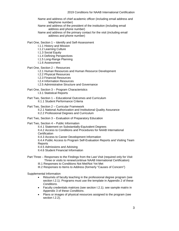#### 2019 Conditions for NAAB International Certification

Name and address of chief academic officer (including email address and telephone number) Name and address of the president of the institution (including email address and phone number) Name and address of the primary contact for the visit (including email address and phone number) Part One, Section 1 – Identify and Self-Assessment I.1.1 History and Mission I.1.2 Learning Culture I.1.3 Social Equity I.1.4 Defining Perspectives I.1.5 Long-Range Planning I.1.6 Assessment Part One, Section 2 – Resources I.2.1 Human Resources and Human Resource Development I.2.2 Physical Resources I.2.3 Financial Resources I.2.4 Information Resources I.2.5 Administrative Structure and Governance Part One, Section 3 – Program Characteristics I.3.1 Statistical Reports Part Two, Section 1 – Educational Outcomes and Curriculum II.1.1 Student Performance Criteria Part Two, Section 2 – Curricular Framework II.2.1 National Authorization and Institutional Quality Assurance II.2.2 Professional Degrees and Curriculum Part Two, Section 3 – Evaluation of Preparatory Education Part Two, Section 4 – Public Information II.4.1 Statement on Substantially-Equivalent Degrees II.4.2 Access to Conditions and Procedures for NAAB International **Certification** II.4.3 Access to Career Development Information II.4.4 Public Access to Program Self-Evaluation Reports and Visiting Team **Reports** II.4.5 Admissions and Advising II.4.6 Student Financial Information Part Three – Responses to the Findings from the Last Visit (required only for Visit Three or visits to renew/continue NAAB International Certification) III.1 Responses to Conditions Not Met/Not Yet Met III.2 Responses to Items to Address (formerly "Causes of Concern")

Supplemental Information

- Résumés of faculty teaching in the professional degree program (see section I.2.1). Programs must use the template in Appendix 2 of these *Conditions*.
- Faculty credentials matrices (see section I.2.1); see sample matrix in Appendix 3 of these *Conditions*.
- Plans or images of physical resources assigned to the program (see section I.2.2),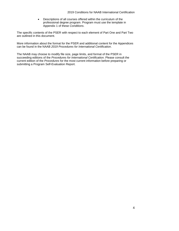• Descriptions of all courses offered within the curriculum of the professional degree program. Program must use the template in Appendix 1 of these *Conditions*.

The specific contents of the PSER with respect to each element of Part One and Part Two are outlined in this document.

More information about the format for the PSER and additional content for the Appendices can be found in the NAAB *2019 Procedures for International Certification*.

The NAAB may choose to modify file size, page limits, and format of the PSER in succeeding editions of the *Procedures for International Certification*. Please consult the current edition of the *Procedures* for the most current information before preparing or submitting a Program Self-Evaluation Report.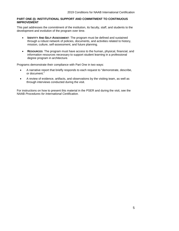# **PART ONE (I): INSTITUTIONAL SUPPORT AND COMMITMENT TO CONTINUOUS IMPROVEMENT**

This part addresses the commitment of the institution, its faculty, staff, and students to the development and evolution of the program over time.

- **IDENTITY AND SELF-ASSESSMENT**: The program must be defined and sustained through a robust network of policies, documents, and activities related to history, mission, culture, self-assessment, and future planning.
- **RESOURCES**: The program must have access to the human, physical, financial, and information resources necessary to support student learning in a professional degree program in architecture.

Programs demonstrate their compliance with Part One in two ways:

- A narrative report that briefly responds to each request to "demonstrate, describe, or document."
- A review of evidence, artifacts, and observations by the visiting team, as well as through interviews conducted during the visit.

For instructions on how to present this material in the PSER and during the visit, see the NAAB *Procedures for International Certification.*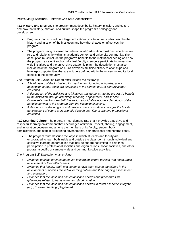# **PART ONE (I): SECTION 1 – IDENTITY AND SELF-ASSESSMENT**

**I.1.1 History and Mission**: The program must describe its history, mission, and culture and how that history, mission, and culture shape the program's pedagogy and development.

- Programs that exist within a larger educational institution must also describe the history and mission of the institution and how that shapes or influences the program.
- The program being reviewed for International Certification must describe its active role and relationship within its academic context and university community. The description must include the program's benefits to the institutional setting and how the program as a unit and/or individual faculty members participate in universitywide initiatives and the university's academic plan. The description must also include how the program as a unit develops multidisciplinary relationships and leverages opportunities that are uniquely defined within the university and its local context in the community.

*The* Program Self-Evaluation Report *must include the following:*

- *A brief history of the institution, its mission, and founding principles, and a description of how these are expressed in the context of 21st-century higher education.*
- *A description of the activities and initiatives that demonstrate the program's benefit to the institution through discovery, teaching, engagement, and service. Conversely, the Program Self-Evaluation should also include a description of the benefits derived to the program from the institutional setting.*
- *A description of the program and how its course of study encourages the holistic development of young professionals through both liberal arts and professional education.*

**I.1.2 Learning Culture**: The program must demonstrate that it provides a positive and respectful learning environment that encourages optimism, respect, sharing, engagement, and innovation between and among the members of its faculty, student body, administration, and staff in all learning environments, both traditional and nontraditional.

The program must describe the ways in which students and faculty are encouraged to learn both inside and outside the classroom through individual and collective learning opportunities that include but are not limited to field trips, participation in professional societies and organizations, honor societies, and other program-specific or campus-wide and community-wide activities.

*The* Program Self-Evaluation *must include:*

- *Evidence of plans for implementation of learning culture policies with measurable assessment of their effectiveness.*
- *Evidence that faculty, staff, and students have been able to participate in the development of policies related to learning culture and their ongoing assessment and evaluation.*
- *Evidence that the institution has established policies and procedures for grievances related to harassment and discrimination.*
- *Evidence that the institution has established policies to foster academic integrity (e.g., to avoid cheating, plagiarism).*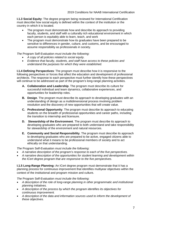**I.1.3 Social Equity**: The degree program being reviewed for International Certification must describe how social equity is defined within the context of the institution or the country in which it is located.

- The program must demonstrate how and describe its approach to providing faculty, students, and staff with a culturally rich educational environment in which each person is equitably able to learn, teach, and work
- The program must demonstrate how its graduates have been prepared to be sensitive to differences in gender, culture, and customs, and be encouraged to assume responsibility as professionals in society.

*The* Program Self-Evaluation *must include the following:*

- *A copy of all policies related to social equity.*
- *Evidence that faculty, students, and staff have access to these policies and understand the purposes for which they were established.*

**I.1.4 Defining Perspectives**: The program must describe how it is responsive to the following perspectives or forces that affect the education and development of professional architects. The response to each perspective must further identify how these perspectives will continue to be addressed as part of the program's long-range planning activities.

- **A. Collaboration and Leadership**. The program must describe its culture for successful individual and team dynamics, collaborative experiences, and opportunities for leadership roles.
- **B. Design**. The program must describe its approach to developing graduates with an understanding of design as a multidimensional process involving problem resolution and the discovery of new opportunities that will create value.
- **C. Professional Opportunity**. The program must describe its approach to educating students on the breadth of professional opportunities and career paths, including the transition to internship and licensure.
- **D. Stewardship of the Environment**. The program must describe its approach to developing graduates who are prepared to both understand and take responsibility for stewardship of the environment and natural resources.
- **E. Community and Social Responsibility**. The program must describe its approach to developing graduates who are prepared to be active, engaged citizens able to understand what it means to be professional members of society and to act ethically on that understanding.

*The* Program Self-Evaluation *must include the following:*

- *A narrative description of the program's response to each of the five perspectives.*
- *A narrative description of the opportunities for student learning and development within the ICert degree program that are responsive to the five perspectives.*

**I.1.5 Long-Range Planning:** An ICert degree program must demonstrate that it has a planning process for continuous improvement that identifies multiyear objectives within the context of the institutional and program mission and culture.

*The* Program Self-Evaluation *must include the following:*

- *A description of the role of long-range planning in other programmatic and institutional planning initiatives.*
- *A description of the process by which the program identifies its objectives for continuous improvement.*
- *A description of the data and information sources used to inform the development of these objectives.*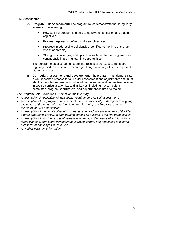# **I.1.6 Assessment**

- **A. Program Self-Assessment:** The program must demonstrate that it regularly assesses the following:
	- How well the program is progressing toward its mission and stated objectives.
	- Progress against its defined multiyear objectives.
	- Progress in addressing deficiencies identified at the time of the last visit (if applicable).
	- Strengths, challenges, and opportunities faced by the program while continuously improving learning opportunities.

The program must also demonstrate that results of self-assessments are regularly used to advise and encourage changes and adjustments to promote student success.

**B. Curricular Assessment and Development**: The program must demonstrate a well-reasoned process for curricular assessment and adjustments and must identify the roles and responsibilities of the personnel and committees involved in setting curricular agendas and initiatives, including the curriculum committee, program coordinators, and department chairs or directors.

*The* Program Self-Evaluation *must include the following:*

- *A description, if applicable, of institutional requirements for self-assessment.*
- *A description of the program's assessment process, specifically with regard to ongoing evaluation of the program's mission statement, its multiyear objectives, and how it relates to the five perspectives.*
- *A description of the results of faculty, students, and graduate assessments of the ICert degree program's curriculum and learning context as outlined in the five perspectives.*
- *A description of how the results of self-assessment activities are used to inform long*range planning, curriculum development, learning culture, and responses to external *pressures or challenges to institutions.*
- *Any other pertinent information.*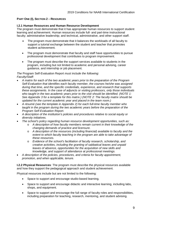## **PART ONE (I), SECTION 2 – RESOURCES**

## **I.2.1 Human Resources and Human Resource Development**

The program must demonstrate that it has appropriate human resources to support student learning and achievement. Human resources include full- and part-time instructional faculty; administrative leadership; and technical, administrative, and other support staff.

- The program must demonstrate that it balances the workloads of all faculty to support a tutorial exchange between the student and teacher that promotes student achievement.
- The program must demonstrate that faculty and staff have opportunities to pursue professional development that contributes to program improvement.
- The program must describe the support services available to students in the program, including but not limited to academic and personal advising, career guidance, and internship or job placement.

*The* Program Self-Evaluation Report *must include the following*: *Faculty/Staff:*

- *A matrix for each of the two academic years prior to the preparation of the Program Self-Evaluation that identifies each faculty member, the courses he/she was assigned during that time, and the specific credentials, experience, and research that supports these assignments. In the case of adjuncts or visiting professors, only those individuals who taught in the two academic years prior to the visit should be identified. (NOTE 1: See Appendix 3 for a template for this matrix.) (NOTE 2: The faculty matrix should be updated for the current academic year and placed in the team room.)*
- *A résumé (see the template in Appendix 2) for each full-time faculty member who taught in the program during the two academic years before the preparation of the Program Self-Evaluation Report.*
- *A description of the institution's policies and procedures relative to social equity or diversity initiatives.*
- *The school's policy regarding human resource development opportunities, such as:*
	- o *A description of how faculty members remain current in their knowledge of the changing demands of practice and licensure.*
	- o *A description of the resources (including financial) available to faculty and the extent to which faculty teaching in the program are able to take advantage of these resources.*
	- o *Evidence of the school's facilitation of faculty research, scholarship, and creative activities, including the granting of sabbatical leaves and unpaid leaves of absence, opportunities for the acquisition of new skills and knowledge, and support of attendance at professional meetings.*
- *A description of the policies, procedures, and criteria for faculty appointment, promotion, and when applicable, tenure.*

**I.2.2 Physical Resources**: The program must describe the physical resources available and how they support the pedagogical approach and student achievement.

Physical resources include but are not limited to the following:

- Space to support and encourage studio-based learning.
- Space to support and encourage didactic and interactive learning, including labs, shops, and equipment.
- Space to support and encourage the full range of faculty roles and responsibilities, including preparation for teaching, research, mentoring, and student advising.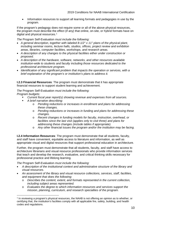• Information resources to support all learning formats and pedagogies in use by the program.

If the program's pedagogy does not require some or all of the above physical resources, the program must describe the effect (if any) that online, on-site, or hybrid formats have on digital and physical resources.<sup>[1](#page-12-0)</sup>

*The* Program Self-Evaluation *must include the following:*

- *A general description, together with labeled 8-1/2" x 11" plans of the physical plant, including seminar rooms, lecture halls, studios, offices, project review and exhibition areas, libraries, computer facilities, workshops, and research areas.*
- *A description of any changes to the physical facilities either under construction or proposed.*
- *A description of the hardware, software, networks, and other resources available institution-wide to students and faculty including those resources dedicated to the professional architecture program.*
- *Identification of any significant problem that impacts the operation or services, with a brief explanation of the program's or institution's plans to address it.*

**I.2.3 Financial Resources**: The program must demonstrate that it has appropriate financial resources to support student learning and achievement.

*The* Program Self-Evaluation *must include the following: Program budgets:*

- *Current fiscal year report(s) showing revenue and expenses from all sources.*
- *A brief narrative describing:* 
	- o *Pending reductions or increases in enrollment and plans for addressing these changes.*
	- o *Pending reductions or increases in funding and plans for addressing these changes.*
	- o *Recent changes in funding models for faculty, instruction, overhead, or facilities since the last visit (applies only to visit three) and plans for addressing these changes (include tables if appropriate).*
	- o *Any other financial issues the program and/or the institution may be facing.*

**I.2.4 Information Resources**: The program must demonstrate that all students, faculty, and staff have convenient, equitable access to literature and information, as well as appropriate visual and digital resources that support professional education in architecture.

Further, the program must demonstrate that all students, faculty, and staff have access to architecture librarians and visual resource professionals who provide information services that teach and develop the research, evaluative, and critical thinking skills necessary for professional practice and lifelong learning.

*The* Program Self-Evaluation *must include the following:*

- *A description of the institutional context and administrative structure of the library and visual resources.*
- *An assessment of the library and visual resource collections, services, staff, facilities, and equipment that does the following:*
	- o *Describes the content, extent, and formats represented in the current collection, including subject areas represented.*
	- o *Evaluates the degree to which information resources and services support the mission, planning, curriculum, and research specialties of the program.*

<span id="page-12-0"></span>l <sup>1</sup> In reviewing a program's physical resources, the NAAB is not offering an opinion as to whether, or certifying that, the institution's facilities comply with all applicable fire, safety, building, and health codes and regulations.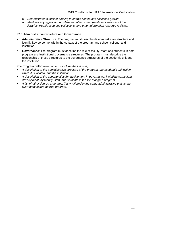- o *Demonstrates sufficient funding to enable continuous collection growth.*
- o *Identifies any significant problem that affects the operation or services of the libraries, visual resources collections, and other information resource facilities.*

# **I.2.5 Administrative Structure and Governance**

- **Administrative Structure**: The program must describe its administrative structure and identify key personnel within the context of the program and school, college, and institution.
- **Governance**: The program must describe the role of faculty, staff, and students in both program and institutional governance structures. The program must describe the relationship of these structures to the governance structures of the academic unit and the institution.

*The* Program Self*-*Evaluation *must include the following:*

- *A description of the administrative structure of the program, the academic unit within which it is located, and the institution.*
- *A description of the opportunities for involvement in governance, including curriculum development, by faculty, staff, and students in the ICert degree program.*
- *A list of other degree programs, if any, offered in the same administrative unit as the ICert architecture degree program.*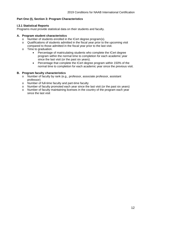# **Part One (I), Section 3: Program Characteristics**

## **I.3.1 Statistical Reports**

Programs must provide statistical data on their students and faculty.

# **A. Program student characteristics**

- o Number of students enrolled in the ICert degree program(s).
- o Qualifications of students admitted in the fiscal year prior to the upcoming visit compared to those admitted in the fiscal year prior to the last visit.
- o Time to graduation.
	- Percentage of matriculating students who complete the ICert degree program within the normal time to completion for each academic year since the last visit (or the past six years).
	- Percentage that complete the ICert degree program within 150% of the normal time to completion for each academic year since the previous visit.

## **B. Program faculty characteristics**

- o Number of faculty by rank (e.g., professor, associate professor, assistant professor)
- o Number of full-time faculty and part-time faculty
- o Number of faculty promoted each year since the last visit (or the past six years)
- o Number of faculty maintaining licenses in the country of the program each year since the last visit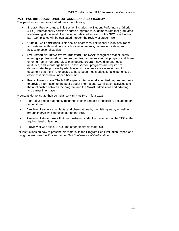## **PART TWO (II): EDUCATIONAL OUTCOMES AND CURRICULUM**

This part has four sections that address the following:

- **STUDENT PERFORMANCE**. This section includes the Student Performance Criteria (SPC). Internationally certified degree programs must demonstrate that graduates are learning at the level of achievement defined for each of the SPC listed in this part. Compliance will be evaluated through the review of student work.
- **CURRICULAR FRAMEWORK**. This section addresses institutional quality assurance and national authorization, credit hour requirements, general education, and access to optional studies.
- **EVALUATION OF PREPARATORY EDUCATION**. The NAAB recognizes that students entering a professional degree program from a preprofessional program and those entering from a non-preprofessional degree program have different needs, aptitudes, and knowledge bases. In this section, programs are required to demonstrate the process by which incoming students are evaluated and to document that the SPC expected to have been met in educational experiences at other institutions have indeed been met.
- **PUBLIC INFORMATION**. The NAAB expects internationally certified degree programs to provide information to the public about International Certification activities and the relationship between the program and the NAAB, admissions and advising, and career information.

Programs demonstrate their compliance with Part Two in four ways:

- A narrative report that briefly responds to each request to "describe, document, or demonstrate."
- A review of evidence, artifacts, and observations by the visiting team, as well as through interviews conducted during the visit.
- A review of student work that demonstrates student achievement of the SPC at the required level of learning.
- A review of web sites, URLs, and other electronic materials.

For instructions on how to present this material in the Program Self-Evaluation Report and during the visit, see the *Procedures for NAAB International Certification.*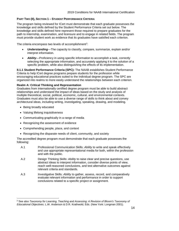# **PART TWO (II), SECTION 1 – STUDENT PERFORMANCE CRITERIA**

The program being reviewed for ICert must demonstrate that each graduate possesses the knowledge and skills defined by the Student Performance Criteria set out below. The knowledge and skills defined here represent those required to prepare graduates for the path to internship, examination, and licensure and to engage in related fields. The program must provide student work as evidence that its graduates have satisfied each criterion.

The criteria encompass two levels of accomplishment<sup>[2](#page-16-0)</sup>:

- *Understanding—*The capacity to classify, compare, summarize, explain and/or interpret information.
- *Ability*—Proficiency in using specific information to accomplish a task, correctly selecting the appropriate information, and accurately applying it to the solution of a specific problem, while also distinguishing the effects of its implementation.

**II.1.1 Student Performance Criteria (SPC):** The NAAB establishes Student Performance Criteria to help ICert degree programs prepare students for the profession while encouraging educational practices suited to the individual degree program. The SPC are organized into realms to more easily understand the relationships between each criterion.

# **Realm A: Critical Thinking and Representation**

Graduates from internationally certified degree program must be able to build abstract relationships and understand the impact of ideas based on the study and analysis of multiple theoretical, social, political, economic, cultural, and environmental contexts. Graduates must also be able to use a diverse range of skills to think about and convey architectural ideas, including writing, investigating, speaking, drawing, and modeling.

- Being broadly educated
- Valuing lifelong inquisitiveness
- Communicating graphically in a range of media
- Recognizing the assessment of evidence
- Comprehending people, place, and context
- Recognizing the disparate needs of client, community, and society

The accredited degree program must demonstrate that each graduate possesses the following:

- A.1 Professional Communication Skills: *Ability* to write and speak effectively and use appropriate representational media for both, within the profession and with the public.
- A.2 Design Thinking Skills: *Ability* to raise clear and precise questions, use abstract ideas to interpret information, consider diverse points of view, reach well-reasoned conclusions, and test alternative outcomes against relevant criteria and standards.
- A.3 Investigative Skills: *Ability* to gather, assess, record, and comparatively evaluate relevant information and performance in order to support conclusions related to a specific project or assignment.

<span id="page-16-0"></span> $\overline{a}$ <sup>2</sup> See also *Taxonomy for Learning, Teaching and Assessing: A Revision of Bloom's Taxonomy of Educational Objectives*. L.W. Anderson & D.R. Krathwold, Eds. (New York: Longman 2001).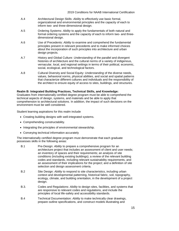- A.4 Architectural Design Skills: *Ability* to effectively use basic formal, organizational and environmental principles and the capacity of each to inform two- and three-dimensional design.
- A.5 Ordering Systems: *Ability* to apply the fundamentals of both natural and formal ordering systems and the capacity of each to inform two- and threedimensional design.
- A.6 Use of Precedents: *Ability* to examine and comprehend the fundamental principles present in relevant precedents and to make informed choices about the incorporation of such principles into architecture and urban design projects.
- A.7 History and Global Culture: *Understanding* of the parallel and divergent histories of architecture and the cultural norms of a variety of indigenous, vernacular, local, and regional settings in terms of their political, economic, social, ecological, and technological factors.
- A.8 Cultural Diversity and Social Equity*: Understanding* of the diverse needs, values, behavioral norms, physical abilities, and social and spatial patterns that characterize different cultures and individuals and the responsibility of the architect to ensure equity of access to sites, buildings, and structures.

## **Realm B: Integrated Building Practices, Technical Skills, and Knowledge:**

Graduates from internationally certified degree program must be able to comprehend the technical aspects of design, systems, and materials and be able to apply that comprehension to architectural solutions. In addition, the impact of such decisions on the environment must be well considered.

Student learning aspirations for this realm include

- Creating building designs with well-integrated systems.
- Comprehending constructability.
- Integrating the principles of environmental stewardship.
- Conveying technical information accurately

The internationally certified degree program must demonstrate that each graduate possesses skills in the following areas:

- B.1 Pre-Design: *Ability* to prepare a comprehensive program for an architecture project that includes an assessment of client and user needs; an inventory of spaces and their requirements; an analysis of site conditions (including existing buildings); a review of the relevant building codes and standards, including relevant sustainability requirements, and an assessment of their implications for the project; and a definition of site selection and design assessment criteria.
- B.2 Site Design: *Ability* to respond to site characteristics, including urban context and developmental patterning, historical fabric, soil, topography, ecology, climate, and building orientation, in the development of a project design.
- B.3. Codes and Regulations: *Ability* to design sites, facilities, and systems that are responsive to relevant codes and regulations, and include the principles of local life-safety and accessibility standards.
- B.4 Technical Documentation: *Ability* to make technically clear drawings, prepare outline specifications, and construct models illustrating and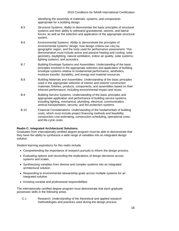identifying the assembly of materials, systems, and components appropriate for a building design.

- B.5 Structural Systems: *Ability* to demonstrate the basic principles of structural systems and their ability to withstand gravitational, seismic, and lateral forces, as well as the selection and application of the appropriate structural system.
- B.6 Environmental Systems: *Ability* to demonstrate the principles of environmental systems' design, how design criteria can vary by geographic region, and the tools used for performance assessment. This demonstration must include active and passive heating and cooling, solar geometry, daylighting, natural ventilation, indoor air quality, solar systems, lighting systems, and acoustics.
- B.7 Building Envelope Systems and Assemblies: *Understanding* of the basic principles involved in the appropriate selection and application of building envelope systems relative to fundamental performance, aesthetics, moisture transfer, durability, and energy and material resources.
- B.8 Building Materials and Assemblies: *Understanding* of the basic principles used in the appropriate selection of interior and exterior construction materials, finishes, products, components, and assemblies based on their inherent performance, including environmental impact and reuse.
- B.9 Building Service Systems: *Understanding* of the basic principles and appropriate application and performance of building service systems, including lighting, mechanical, plumbing, electrical, communication, vertical transportation, security, and fire protection systems.
- B.10 Financial Considerations: *Understanding* of the fundamentals of building costs, which must include project financing methods and feasibility, construction cost estimating, construction scheduling, operational costs, and life-cycle costs.

# **Realm C: Integrated Architectural Solutions.**

Graduates from internationally certified degree program must be able to demonstrate that they have the ability to synthesize a wide range of variables into an integrated design solution.

Student learning aspirations for this realm include

- Comprehending the importance of research pursuits to inform the design process.
- Evaluating options and reconciling the implications of design decisions across systems and scales.
- Synthesizing variables from diverse and complex systems into an integrated architectural solution.
- Responding to environmental stewardship goals across multiple systems for an integrated solution.
- Knowing societal and professional responsibilities

The internationally certified degree program must demonstrate that each graduate possesses skills in the following areas:

C.1 Research: *Understanding* of the theoretical and applied research methodologies and practices used during the design process.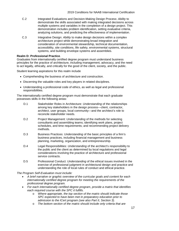- C.2 Integrated Evaluations and Decision-Making Design Process: *Ability* to demonstrate the skills associated with making integrated decisions across multiple systems and variables in the completion of a design project. This demonstration includes problem identification, setting evaluative criteria, analyzing solutions, and predicting the effectiveness of implementation.
- C.3 Integrative Design: *Ability* to make design decisions within a complex architecture project while demonstrating broad integration and consideration of environmental stewardship, technical documentation, accessibility, site conditions, life safety, environmental systems, structural systems, and building envelope systems and assemblies.

## **Realm D: Professional Practice**.

Graduates from internationally certified degree program must understand business principles for the practice of architecture, including management, advocacy, and the need to act legally, ethically, and critically for the good of the client, society, and the public.

Student learning aspirations for this realm include

- Comprehending the business of architecture and construction.
- Discerning the valuable roles and key players in related disciplines.
- Understanding a professional code of ethics, as well as legal and professional responsibilities.

The internationally certified degree program must demonstrate that each graduate possesses skills in the following areas:

- D.1 Stakeholder Roles in Architecture: *Understanding* of the relationships among key stakeholders in the design process—client, contractor, architect, user groups, local community—and the architect's role to reconcile stakeholder needs.
- D.2 Project Management: *Understanding* of the methods for selecting consultants and assembling teams; identifying work plans, project schedules, and time requirements; and recommending project delivery methods.
- D.3 Business Practices: *Understanding* of the basic principles of a firm's business practices, including financial management and business planning, marketing, organization, and entrepreneurship.
- D.4 Legal Responsibilities: *Understanding* of the architect's responsibility to the public and the client as determined by local regulations and legal considerations involving the practice of architecture and professional service contracts.
- D.5 Professional Conduct: *Understanding* of the ethical issues involved in the exercise of professional judgment in architectural design and practice and understanding the role of local rules of conduct and ethical practice.

*The Program Self-Evaluation must include:*

- *A brief narrative or graphic overview of the curricular goals and content for each internationally certified degree program for meeting the requirements of the professional degree program.*
- *For each internationally certified degree program, provide a matrix that identifies each required course with the SPC it fulfills.* 
	- o *Where appropriate, the top section of the matrix should indicate those SPC expected to have been met in preparatory education prior to admission to the ICert program (see also Part II, Section 3).*
	- o *The bottom section of the matrix should include only criteria that are*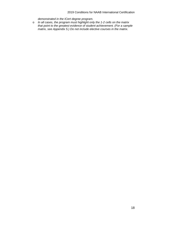## 2019 Conditions for NAAB International Certification

*demonstrated in the ICert degree program.*

o *In all cases, the program must highlight only the 1-2 cells on the matrix that point to the greatest evidence of student achievement. (For a sample matrix, see Appendix 5.) Do not include elective courses in the matrix.*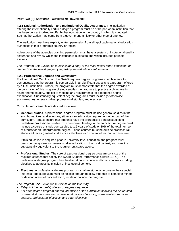#### **PART TWO (II): SECTION 2 – CURRICULAR FRAMEWORK**

**II.2.1 National Authorization and Institutional Quality Assurance**: The institution offering the internationally certified degree program must be or be part of an institution that has been duly authorized to offer higher education in the country in which it is located. Such authorization may come from a government ministry or other type of agency.

The institution must have explicit, written permission from all applicable national education authorities in that program's country or region.

At least one of the agencies granting permission must have a system of institutional quality assurance and review which the institution is subject to and which includes periodic evaluation.

*The* Program Self-Evaluation *must include a copy of the most recent letter, certificate, or charter from the ministry/agency regarding the institution's authorization.*

#### **II.2.2 Professional Degrees and Curriculum**:

For International Certification, the NAAB requires degree programs in architecture to demonstrate that the program is comparable in all significant aspects to a program offered by a U.S. institution. Further, the program must demonstrate that the degree awarded at the conclusion of this program of study entitles the graduate to practice architecture in his/her home country, subject to meeting any requirements for experience and/or examination. Substantially equivalent degree programs must include (or otherwise acknowledge) general studies, professional studies, and electives.

Curricular requirements are defined as follows:

• **General Studies**. A professional degree program must include general studies in the arts, humanities, and sciences, either as an admission requirement or as part of the curriculum. It must ensure that students have the prerequisite general studies to undertake professional studies. The curriculum leading to the architecture degree must include a course of study comparable to 1.5 years of study or 30% of the total number of credits for an undergraduate degree. These courses must be outside architectural studies either as general studies or as electives with content other than architecture.

If this education is acquired prior to university-level education, the program must describe the system for general studies education in the local context, and how it is substantially equivalent to the requirement stated above.

- **Professional Studies**. The core of a professional degree program consists of the required courses that satisfy the NAAB Student Performance Criteria (SPC). The professional degree program has the discretion to require additional courses including electives to address its mission or institutional context.
- **Electives**. A professional degree program must allow students to pursue their special interests. The curriculum must be flexible enough to allow students to complete minors or develop areas of concentration, inside or outside the program.

#### *The Program Self-Evaluation must include the following:*

- *Title(s) of the degree(s) offered or degree sequence*
- *For each degree program offered, an outline of the curriculum showing the distribution of general studies, required professional courses (including prerequisites), required courses, professional electives, and other electives*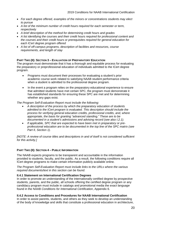- *For each degree offered, examples of the minors or concentrations students may elect to pursue*
- *A list of the minimum number of credit hours required for each semester or term, respectively*
- *A brief description of the method for determining credit hours and grades*
- *A list identifying the courses and their credit hours required for professional content and the courses and their credit hours or prerequisites required for general education for each ICert degree program offered*
- *A list of off-campus programs, description of facilities and resources, course requirements, and length of stay*

## **PART TWO (II): SECTION 3 – EVALUATION OF PREPARATORY EDUCATION**

The program must demonstrate that it has a thorough and equitable process for evaluating the preparatory or preprofessional education of individuals admitted to the ICert degree program.

- Programs must document their processes for evaluating a student's prior academic course work related to satisfying NAAB student performance criteria when a student is admitted to the professional degree program.
- In the event a program relies on the preparatory educational experience to ensure that admitted students have met certain SPC, the program must demonstrate it has established standards for ensuring these SPC are met and for determining whether any gaps exist.

## *The Program Self-Evaluation Report must include the following:*

- *A description of the process by which the preparatory education of students admitted to the ICert program is evaluated. This description should include the process for verifying general education credits, professional credits, and, where appropriate, the basis for granting "advanced standing." These are to be documented in a student's admissions and advising record (see also I.2.1).*
- *If applicable, SPC that are expected to have been met in preparatory or preprofessional education are to be documented in the top line of the SPC matrix (see Part II, Section 1).*

*[NOTE: A review of course titles and descriptions in and of itself is not considered sufficient for this activity.]* 

## **PART TWO (II): SECTION 4 – PUBLIC INFORMATION**

The NAAB expects programs to be transparent and accountable in the information provided to students, faculty, and the public. As a result, the following conditions require all ICert degree programs to make certain information publicly available online.

*The Program Self-Evaluation Report must include links to the URLs where the various required documents/text in this section can be found.*

## **II.4.1 Statement on International Certification Degrees**

In order to promote an understanding of the internationally certified degree by prospective students, parents, and the public, all schools offering the certified degree program or any candidacy program must include in catalogs and promotional media the *exact language* found in the NAAB *Conditions for International Certification*, Appendix 6.

## **II.4.2 Access to Conditions and Procedures for NAAB International Certification**

In order to assist parents, students, and others as they seek to develop an understanding of the body of knowledge and skills that constitute a professional education in architecture,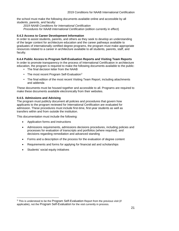the school must make the following documents available online and accessible by all students, parents, and faculty:

*2019 NAAB Conditions for International Certification Procedures for NAAB International Certification (edition currently in effect)* 

# **II.4.3 Access to Career Development Information**

In order to assist students, parents, and others as they seek to develop an understanding of the larger context for architecture education and the career pathways available to graduates of internationally certified degree programs, the program must make appropriate resources related to a career in architecture available to all students, parents, staff, and faculty.

## **II.4.4 Public Access to Program Self-Evaluation Reports and Visiting Team Reports**

In order to promote transparency in the process of International Certification in architecture education, the program is required to make the following documents available to the public:

- The final decision letter from the NAAB
- The most recent Program Self-Evaluation*[3](#page-23-0)*
- The final edition of the most recent Visiting Team Report, including attachments and addenda

These documents must be housed together and accessible to all. Programs are required to make these documents available electronically from their websites.

# **II.4.5. Admissions and Advising**

The program must publicly document all policies and procedures that govern how applicants to the program reviewed for International Certification are evaluated for admission. These procedures must include first-time, first-year students as well as transfers within and from outside the institution.

This documentation must include the following:

- Application forms and instructions
- Admissions requirements, admissions decisions procedures, including policies and processes for evaluation of transcripts and portfolios (where required), and decisions regarding remediation and advanced standing
- Forms and a description of the process for the evaluation of degree content
- Requirements and forms for applying for financial aid and scholarships
- Students' social equity initiatives

 $\overline{a}$ 

<span id="page-23-0"></span><sup>&</sup>lt;sup>3</sup> This is understood to be the Program Self-Evaluation Report from the previous visit (if applicable), not the Program Self-Evaluation for the visit currently in process.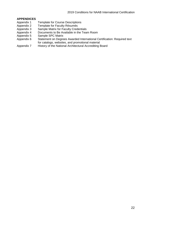# **APPENDICES**

- Appendix 1 Template for Course Descriptions<br>Appendix 2 Template for Faculty Résumés
- Appendix 2 Template for Faculty Résumés<br>Appendix 3 Sample Matrix for Faculty Crede
- Appendix 3 Sample Matrix for Faculty Credentials<br>Appendix 4 Documents to Be Available in the Tear
- Appendix 4 Documents to Be Available in the Team Room<br>Appendix 5 Sample SPC Matrix
- Appendix 5 Sample SPC Matrix<br>Appendix 6 Statement on Degree
- Statement on Degrees Awarded International Certification: Required text for catalogs, websites, and promotional material
- Appendix 7 History of the National Architectural Accrediting Board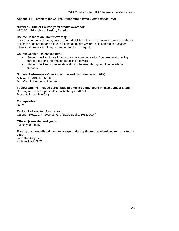# **Appendix 1: Template for Course Descriptions** *[limit 1 page per course]*

## **Number & Title of Course (total credits awarded):**

ARC 101, Principles of Design, 3 credits

# **Course Description (limit 25 words):**

Lorem ipsum dolor sit amet, consectetur adipisicing elit, sed do eiusmod tempor incididunt ut labore et dolore magna aliqua. Ut enim ad minim veniam, quis nostrud exercitation ullamco laboris nisi ut aliquip ex ea commodo consequat.

# **Course Goals & Objectives (list):**

- Students will explore all forms of visual communication from freehand drawing through building information modeling software.
- Students will learn presentation skills to be used throughout their academic careers.

# **Student Performance Criterion addressed (list number and title):**

A.1. Communication Skills A.3. Visual Communication Skills

**Topical Outline (include percentage of time in course spent in each subject area):** Drawing and other representational techniques (60%)

Presentation skills (40%)

# **Prerequisites:**

None

**Textbooks/Learning Resources:** Gardner, Howard. *Frames of Mind* (Basic Books, 1983, 2004)

# **Offered (semester and year):**

Fall only; annually

# **Faculty assigned (list all faculty assigned during the two academic years prior to the**

**visit):** John Doe (adjunct) Andrew Smith (F/T)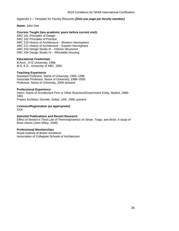# Appendix 2 **–** Template for Faculty Résumés *[limit one page per faculty member]*

**Name:** John Doe

# **Courses Taught (two academic years before current visit):**

ARC 101 Principles of Design ARC 102 Principles of Practice ARC 210 History of Architecture – Western Hemisphere ARC 211 History of Architecture – Eastern Hemisphere ARC 433 Design Studio III – Historic Structures ARC 434 Design Studio IV – Affordable Housing

# **Educational Credentials**

B.Arch., XYZ University, 1988 M.S. E.D., University of ABC, 1992

# **Teaching Experience**

Assistant Professor, Name of University, 1993–1998 Associate Professor, Name of University, 1998–2005 Professor, Name of University, 2006–present

# **Professional Experience**

Intern, Name of Architecture Firm or Other Business/Government Entity, Madrid, 1988– 1991 Project Architect, Gensler, Dubai, UAE, 1992–present

# **Licenses/Registration (as appropriate)**

XXX

# **Selected Publications and Recent Research**

*Effect of Newton's Third Law of Thermodynamics on Straw, Twigs, and Brick: A study of three clients* (John Wiley, 2008)

## **Professional Memberships**

Royal Institute of British Architects Association of Collegiate Schools of Architecture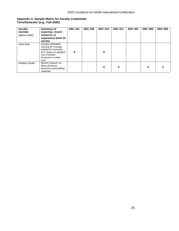# **Appendix 3: Sample Matrix for Faculty Credentials Term/Semester (e.g., Fall 2020)**

| <b>Faculty</b><br>member<br>(alpha order) | Summary of<br>expertise, recent<br>research, or<br>experience (limit 25<br>words)                                                                | <b>ARC 101</b> | <b>ARC 202</b> | <b>ARC 210</b> | <b>ARC 211</b> | <b>ARC 301</b> | <b>ARC 400</b> | <b>ARC 509</b> |
|-------------------------------------------|--------------------------------------------------------------------------------------------------------------------------------------------------|----------------|----------------|----------------|----------------|----------------|----------------|----------------|
| John Doe                                  | Designs affordable<br>housing for Chicago<br>Habitat for Humanity;<br>M.S. thesis on adaptive<br>use of historic<br>structures in urban<br>core. | x              |                | X              |                |                |                |                |
| Andrew Smith                              | Recent research on<br>Meso-American<br>structures and building<br>materials.                                                                     |                |                | X              | x              |                | X              | x              |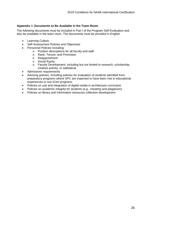# **Appendix** 4**: Documents to Be Available in the Team Room**

The following documents must be included in Part I of the Program Self-Evaluation and also be available in the team room. The documents must be provided in English.

- Learning Culture
- Self-Assessment Policies and Objectives
- Personnel Policies including:
	- o Position descriptions for all faculty and staff
	- o Rank, Tenure, and Promotion
	- o Reappointment
	- o Social Equity
	- o Faculty Development, including but not limited to research, scholarship, creative activity, or sabbatical
- Admissions requirements
- Advising policies, including policies for evaluation of students admitted from preparatory programs where SPC are expected to have been met in educational experiences in non-ICert programs
- Policies on use and integration of digital media in architecture curriculum
- Policies on academic integrity for students (e.g., cheating and plagiarism)
- Policies on library and information resources collection development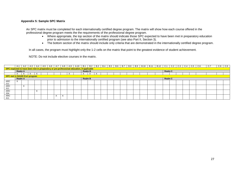# **Appendix 5: Sample SPC Matrix**

An SPC matrix must be completed for each internationally certified degree program. The matrix will show how each course offered in the professional degree program meets the the requirements of the professional degree program.

- Where appropriate, the top section of the matrix should indicate those SPC expected to have been met in preparatory education prior to admission to the internationally certified program (see also Part II, Section 3).
- The bottom section of the matrix should include only criteria that are demonstrated in the internationally certified degree program.

In all cases, the program must highlight only the 1-2 cells on the matrix that point to the greatest evidence of student achievement.

NOTE: Do not include elective courses in the matrix.

|                               |                                                                                           |  |  |  |  |  |  |  |  |                |  |                |  |  |  |  |  | A.1   A.2   A.3   A.4   A.5   A.6   A.7   A.8   A.9   A.10   B.1   B.2   B.3   B.4   B.5   B.6   B.7   B.8   B.9   B.10   B.11   B.12   C.1   C.2 |  |  |  | $C.3$ $C.4$ | C.5 | C.6 | C.7 | C.8 | $\mid$ C.9 |
|-------------------------------|-------------------------------------------------------------------------------------------|--|--|--|--|--|--|--|--|----------------|--|----------------|--|--|--|--|--|---------------------------------------------------------------------------------------------------------------------------------------------------|--|--|--|-------------|-----|-----|-----|-----|------------|
|                               | SPC expected to have been met in preparatory or pre-professional education, if applicable |  |  |  |  |  |  |  |  |                |  |                |  |  |  |  |  |                                                                                                                                                   |  |  |  |             |     |     |     |     |            |
| <b>Realm A</b>                |                                                                                           |  |  |  |  |  |  |  |  | <b>Realm B</b> |  |                |  |  |  |  |  | <b>Realm C</b>                                                                                                                                    |  |  |  |             |     |     |     |     |            |
|                               |                                                                                           |  |  |  |  |  |  |  |  |                |  |                |  |  |  |  |  |                                                                                                                                                   |  |  |  |             |     |     |     |     |            |
| SPC met in NAAB ICert program |                                                                                           |  |  |  |  |  |  |  |  |                |  |                |  |  |  |  |  |                                                                                                                                                   |  |  |  |             |     |     |     |     |            |
|                               | <b>Realm A</b><br><b>Realm B</b>                                                          |  |  |  |  |  |  |  |  |                |  | <b>Realm C</b> |  |  |  |  |  |                                                                                                                                                   |  |  |  |             |     |     |     |     |            |
| ARC                           |                                                                                           |  |  |  |  |  |  |  |  |                |  |                |  |  |  |  |  |                                                                                                                                                   |  |  |  |             |     |     |     |     |            |
| 211                           |                                                                                           |  |  |  |  |  |  |  |  |                |  |                |  |  |  |  |  |                                                                                                                                                   |  |  |  |             |     |     |     |     |            |
| <b>ARC</b>                    |                                                                                           |  |  |  |  |  |  |  |  |                |  |                |  |  |  |  |  |                                                                                                                                                   |  |  |  |             |     |     |     |     |            |
| 311                           |                                                                                           |  |  |  |  |  |  |  |  |                |  |                |  |  |  |  |  |                                                                                                                                                   |  |  |  |             |     |     |     |     |            |
| <b>ARC</b>                    |                                                                                           |  |  |  |  |  |  |  |  |                |  |                |  |  |  |  |  |                                                                                                                                                   |  |  |  |             |     |     |     |     |            |
| 334                           |                                                                                           |  |  |  |  |  |  |  |  |                |  |                |  |  |  |  |  |                                                                                                                                                   |  |  |  |             |     |     |     |     |            |
| <b>ARC</b>                    |                                                                                           |  |  |  |  |  |  |  |  |                |  |                |  |  |  |  |  |                                                                                                                                                   |  |  |  |             |     |     |     |     |            |
| 411                           |                                                                                           |  |  |  |  |  |  |  |  |                |  |                |  |  |  |  |  |                                                                                                                                                   |  |  |  |             |     |     |     |     |            |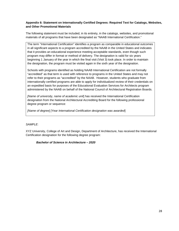# **Appendix 6: Statement on Internationally Certified Degrees: Required Text for Catalogs, Websites, and Other Promotional Materials**

The following statement must be included, in its entirety, in the catalogs, websites, and promotional materials of all programs that have been designated as "NAAB International Certification."

The term "International Certification" identifies a program as comparable in educational outcomes in all significant aspects to a program accredited by the NAAB in the United States and indicates that it provides an educational experience meeting acceptable standards, even though such program may differ in format or method of delivery. The designation is valid for six years beginning 1 January of the year in which the final visit (Visit 3) took place. In order to maintain the designation, the program must be visited again in the sixth year of the designation.

Schools with programs identified as holding NAAB International Certification are not formally "accredited" as that term is used with reference to programs in the United States and may not refer to their programs as "accredited" by the NAAB. However, students who graduate from internationally certified programs are able to apply for individualized review of their credentials on an expedited basis for purposes of the Educational Evaluation Services for Architects program administered by the NAAB on behalf of the National Council of Architectural Registration Boards.

*[Name of university, name of academic unit*] has received the International Certification designation from the National Architectural Accrediting Board for the following professional degree program or sequence:

*[Name of degree] [Year International Certification designation was awarded*]

# *SAMPLE*:

XYZ University, College of Art and Design, Department of Architecture, has received the International Certification designation for the following degree program:

# *Bachelor of Science in Architecture – 2020*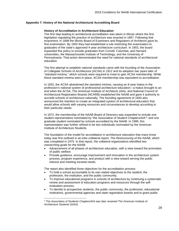# **Appendix 7: History of the National Architectural Accrediting Board**

# **History of Accreditation in Architecture Education**

The first step leading to architectural accreditation was taken in Illinois where the first legislation regulating the practice of architecture was enacted in 1897. Following that enactment, in 1898 the Illinois Board of Examiners and Regulators of Architects gave its first examination. By 1902 they had established a rule restricting the examination to graduates of the state's approved 4-year architecture curriculum. In 1903, the board expanded this policy to include graduates from Cornell, Columbia, and Harvard universities, the Massachusetts Institute of Technology, and the University of Pennsylvania. That action demonstrated the need for national standards of architectural education.

The first attempt to establish national standards came with the founding of the Association of Collegiate Schools of Architecture (ACSA) in 1912 and its adoption two years later of "standard minima," which schools were required to meet to gain ACSA membership. While these standard minima were in place, ACSA membership was equivalent to accreditation.

In 1932, the ACSA abandoned the standard minima, causing an 8-year hiatus in the profession's national system of professional architecture education—a hiatus brought to an end when the ACSA, The American Institute of Architects (AIA), and National Council of Architectural Registration Boards (NCARB) established the NAAB and gave it authority to accredit schools of architecture nationally. The founding agreement of 1940 also announced the intention to create an integrated system of architectural education that would allow schools with varying resources and circumstances to develop according to their particular needs.

In 1972, the membership of the NAAB Board of Directors was expanded to include one student representative nominated by "the Association of Student Chapters/AIA<sup>[4"](#page-31-0)</sup> and one graduate student nominated by schools accredited by the NAAB. In 1999, this representation was further refined to be two individuals nominated by the American Institute of Architecture Students.

The foundation of the model for accreditation in architecture education that many know today was first outlined in an inter-collateral report, *The Restructuring of the NAAB*, which was completed in 1975. In that report, the collateral organizations identified two overarching goals for the NAAB:

- Advancement of all phases of architecture education, with a view toward the promotion of public welfare.
- Provide guidance, encourage improvement and innovation in the architecture system process, program experience, and product with a view toward serving the public interest and meeting societal needs.

The report also identified three objectives for the accreditation process:

l

- To hold a school accountable to its own stated objectives to the student, the profession, the institution, and the public community.
- To improve educational programs in schools of architecture by continuing a systematic review and assessment of education programs and resources through the selfevaluation process.
- To identify to prospective students, the public community, the profession, educational institutions, governmental agencies and state registration boards and to grant public

<span id="page-31-0"></span><sup>4</sup> The Association of Students Chapters/AIA was later renamed The American Institute of Architecture Students (AIAS).